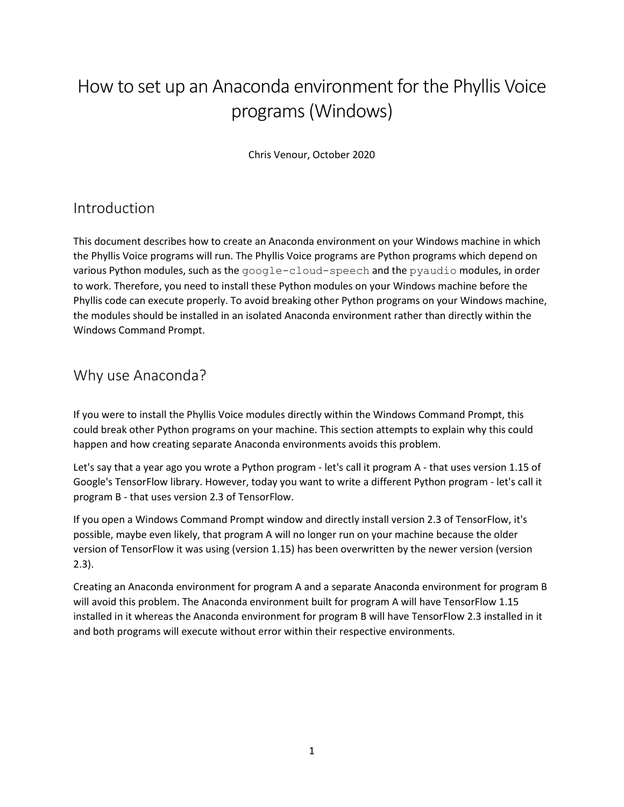# How to set up an Anaconda environment for the Phyllis Voice programs (Windows)

Chris Venour, October 2020

### Introduction

This document describes how to create an Anaconda environment on your Windows machine in which the Phyllis Voice programs will run. The Phyllis Voice programs are Python programs which depend on various Python modules, such as the google-cloud-speech and the pyaudio modules, in order to work. Therefore, you need to install these Python modules on your Windows machine before the Phyllis code can execute properly. To avoid breaking other Python programs on your Windows machine, the modules should be installed in an isolated Anaconda environment rather than directly within the Windows Command Prompt.

#### Why use Anaconda?

If you were to install the Phyllis Voice modules directly within the Windows Command Prompt, this could break other Python programs on your machine. This section attempts to explain why this could happen and how creating separate Anaconda environments avoids this problem.

Let's say that a year ago you wrote a Python program - let's call it program A - that uses version 1.15 of Google's TensorFlow library. However, today you want to write a different Python program - let's call it program B - that uses version 2.3 of TensorFlow.

If you open a Windows Command Prompt window and directly install version 2.3 of TensorFlow, it's possible, maybe even likely, that program A will no longer run on your machine because the older version of TensorFlow it was using (version 1.15) has been overwritten by the newer version (version 2.3).

Creating an Anaconda environment for program A and a separate Anaconda environment for program B will avoid this problem. The Anaconda environment built for program A will have TensorFlow 1.15 installed in it whereas the Anaconda environment for program B will have TensorFlow 2.3 installed in it and both programs will execute without error within their respective environments.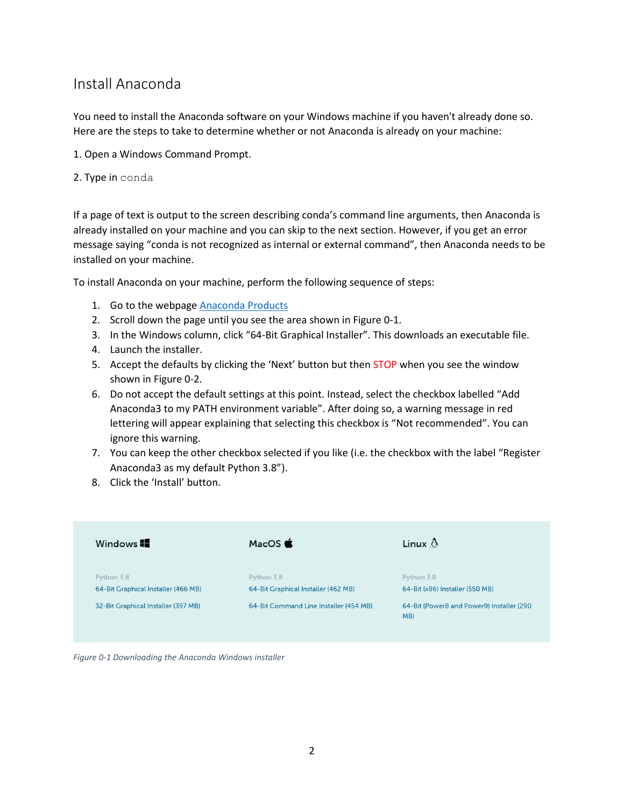## Install Anaconda

You need to install the Anaconda software on your Windows machine if you haven't already done so. Here are the steps to take to determine whether or not Anaconda is already on your machine:

- 1. Open a Windows Command Prompt.
- 2. Type in conda

If a page of text is output to the screen describing conda's command line arguments, then Anaconda is already installed on your machine and you can skip to the next section. However, if you get an error message saying "conda is not recognized as internal or external command", then Anaconda needs to be installed on your machine.

To install Anaconda on your machine, perform the following sequence of steps:

- 1. Go to the webpage [Anaconda Products](https://www.anaconda.com/distribution)
- 2. Scroll down the page until you see the area shown in [Figure 0-1.](#page-1-0)
- 3. In the Windows column, click "64-Bit Graphical Installer". This downloads an executable file.
- 4. Launch the installer.
- 5. Accept the defaults by clicking the 'Next' button but then STOP when you see the window shown in [Figure 0-2.](#page-2-0)
- 6. Do not accept the default settings at this point. Instead, select the checkbox labelled "Add Anaconda3 to my PATH environment variable". After doing so, a warning message in red lettering will appear explaining that selecting this checkbox is "Not recommended". You can ignore this warning.
- 7. You can keep the other checkbox selected if you like (i.e. the checkbox with the label "Register Anaconda3 as my default Python 3.8").
- 8. Click the 'Install' button.

| Windows <b>II</b>                                 | MacOS $\bullet$                                   | Linux $\triangle$                                |
|---------------------------------------------------|---------------------------------------------------|--------------------------------------------------|
| Python 3.8<br>64-Bit Graphical Installer (466 MB) | Python 3.8<br>64-Bit Graphical Installer (462 MB) | Python 3.8<br>64-Bit (x86) Installer (550 MB)    |
| 32-Bit Graphical Installer (397 MB)               | 64-Bit Command Line Installer (454 MB)            | 64-Bit (Power8 and Power9) Installer (290<br>MB) |

<span id="page-1-0"></span>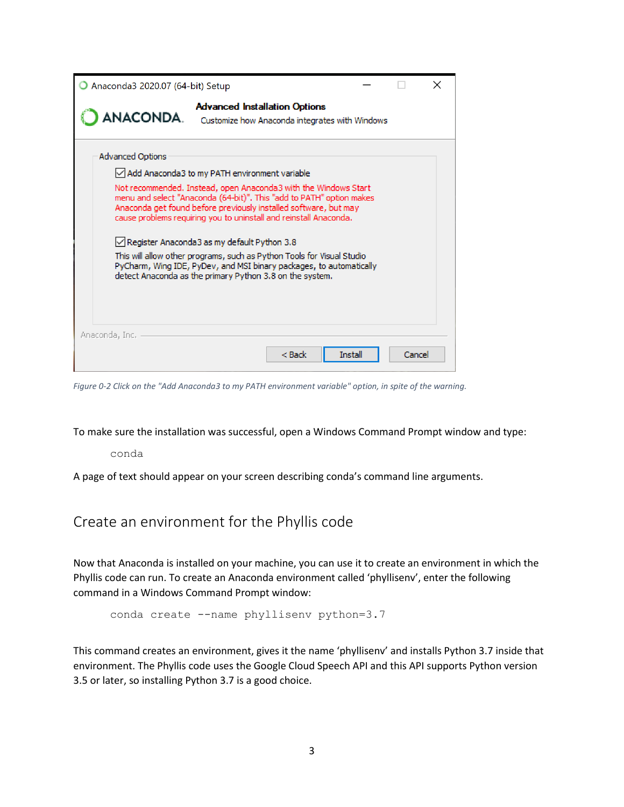| Anaconda3 2020.07 (64-bit) Setup                                                                                                                                                                                                                                                                                                                                                                                                                                                                                                              |                                                                                        |          |        |  |
|-----------------------------------------------------------------------------------------------------------------------------------------------------------------------------------------------------------------------------------------------------------------------------------------------------------------------------------------------------------------------------------------------------------------------------------------------------------------------------------------------------------------------------------------------|----------------------------------------------------------------------------------------|----------|--------|--|
| <b>ANACONDA.</b>                                                                                                                                                                                                                                                                                                                                                                                                                                                                                                                              | <b>Advanced Installation Options</b><br>Customize how Anaconda integrates with Windows |          |        |  |
| <b>Advanced Options</b>                                                                                                                                                                                                                                                                                                                                                                                                                                                                                                                       |                                                                                        |          |        |  |
| √ Add Anaconda3 to my PATH environment variable                                                                                                                                                                                                                                                                                                                                                                                                                                                                                               |                                                                                        |          |        |  |
| Not recommended. Instead, open Anaconda3 with the Windows Start<br>menu and select "Anaconda (64-bit)". This "add to PATH" option makes<br>Anaconda get found before previously installed software, but may<br>cause problems requiring you to uninstall and reinstall Anaconda.<br>√Register Anaconda3 as my default Python 3.8<br>This will allow other programs, such as Python Tools for Visual Studio<br>PyCharm, Wing IDE, PyDev, and MSI binary packages, to automatically<br>detect Anaconda as the primary Python 3.8 on the system. |                                                                                        |          |        |  |
| Anaconda, Inc. I                                                                                                                                                                                                                                                                                                                                                                                                                                                                                                                              | < Back                                                                                 | Trestall | Cancel |  |
|                                                                                                                                                                                                                                                                                                                                                                                                                                                                                                                                               |                                                                                        |          |        |  |

<span id="page-2-0"></span>*Figure 0-2 Click on the "Add Anaconda3 to my PATH environment variable" option, in spite of the warning.*

To make sure the installation was successful, open a Windows Command Prompt window and type:

conda

A page of text should appear on your screen describing conda's command line arguments.

Create an environment for the Phyllis code

Now that Anaconda is installed on your machine, you can use it to create an environment in which the Phyllis code can run. To create an Anaconda environment called 'phyllisenv', enter the following command in a Windows Command Prompt window:

conda create --name phyllisenv python=3.7

This command creates an environment, gives it the name 'phyllisenv' and installs Python 3.7 inside that environment. The Phyllis code uses the Google Cloud Speech API and this API supports Python version 3.5 or later, so installing Python 3.7 is a good choice.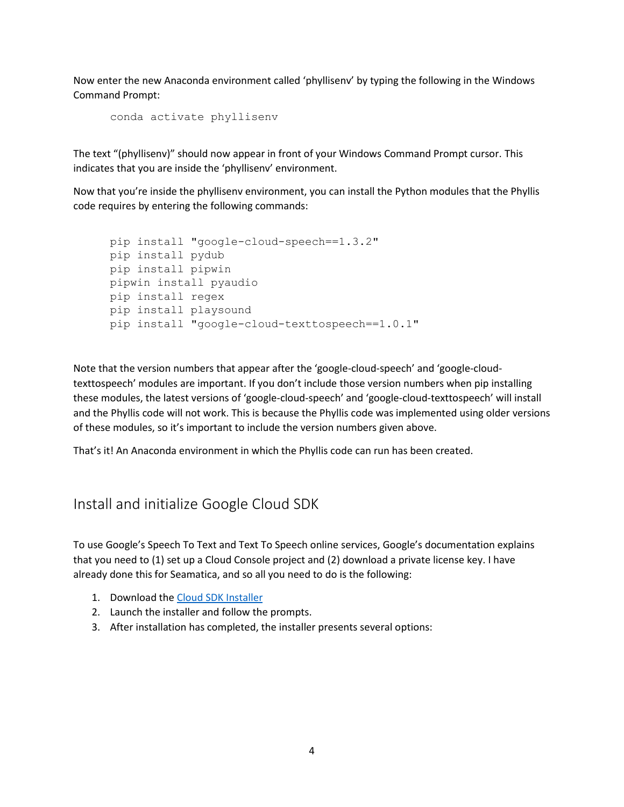Now enter the new Anaconda environment called 'phyllisenv' by typing the following in the Windows Command Prompt:

conda activate phyllisenv

The text "(phyllisenv)" should now appear in front of your Windows Command Prompt cursor. This indicates that you are inside the 'phyllisenv' environment.

Now that you're inside the phyllisenv environment, you can install the Python modules that the Phyllis code requires by entering the following commands:

```
pip install "google-cloud-speech==1.3.2"
pip install pydub
pip install pipwin
pipwin install pyaudio
pip install regex
pip install playsound
pip install "google-cloud-texttospeech==1.0.1"
```
Note that the version numbers that appear after the 'google-cloud-speech' and 'google-cloudtexttospeech' modules are important. If you don't include those version numbers when pip installing these modules, the latest versions of 'google-cloud-speech' and 'google-cloud-texttospeech' will install and the Phyllis code will not work. This is because the Phyllis code was implemented using older versions of these modules, so it's important to include the version numbers given above.

That's it! An Anaconda environment in which the Phyllis code can run has been created.

#### Install and initialize Google Cloud SDK

To use Google's Speech To Text and Text To Speech online services, Google's documentation explains that you need to (1) set up a Cloud Console project and (2) download a private license key. I have already done this for Seamatica, and so all you need to do is the following:

- 1. Download the [Cloud SDK Installer](https://dl.google.com/dl/cloudsdk/channels/rapid/GoogleCloudSDKInstaller.exe)
- 2. Launch the installer and follow the prompts.
- 3. After installation has completed, the installer presents several options: